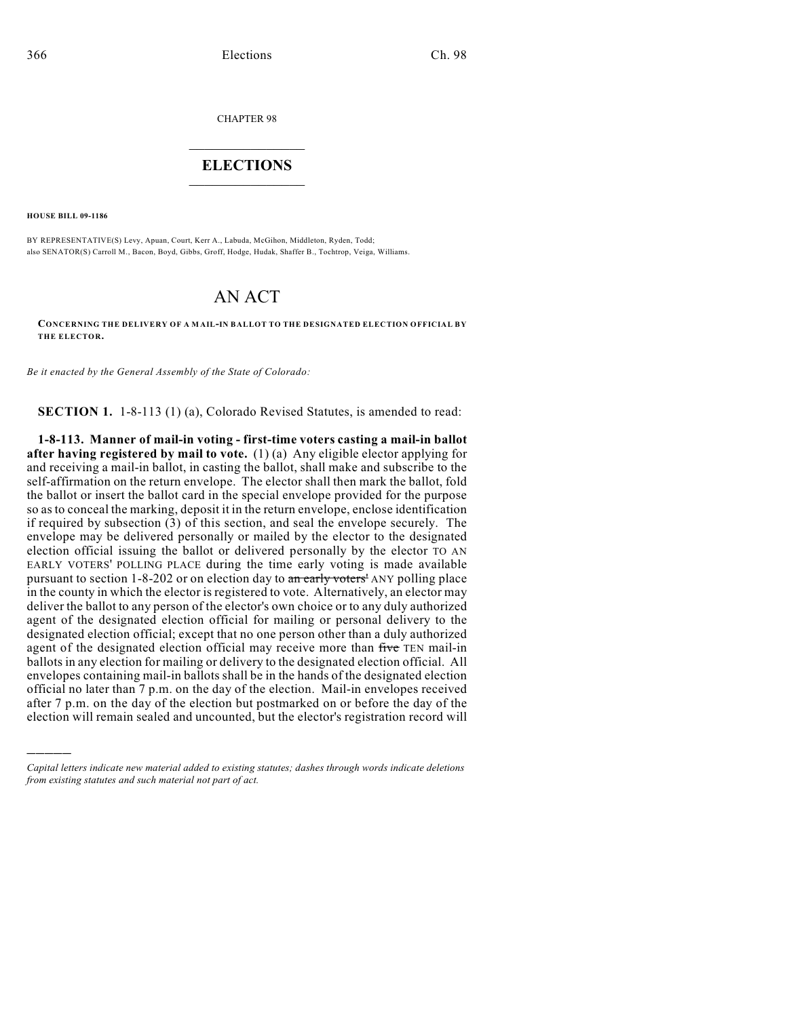CHAPTER 98

## $\overline{\phantom{a}}$  . The set of the set of the set of the set of the set of the set of the set of the set of the set of the set of the set of the set of the set of the set of the set of the set of the set of the set of the set o **ELECTIONS**  $\_$

**HOUSE BILL 09-1186**

)))))

BY REPRESENTATIVE(S) Levy, Apuan, Court, Kerr A., Labuda, McGihon, Middleton, Ryden, Todd; also SENATOR(S) Carroll M., Bacon, Boyd, Gibbs, Groff, Hodge, Hudak, Shaffer B., Tochtrop, Veiga, Williams.

## AN ACT

**CONCERNING THE DELIVERY OF A MAIL-IN BALLOT TO THE DESIGNATED ELECTION OFFICIAL BY THE ELECTOR.**

*Be it enacted by the General Assembly of the State of Colorado:*

**SECTION 1.** 1-8-113 (1) (a), Colorado Revised Statutes, is amended to read:

**1-8-113. Manner of mail-in voting - first-time voters casting a mail-in ballot after having registered by mail to vote.** (1) (a) Any eligible elector applying for and receiving a mail-in ballot, in casting the ballot, shall make and subscribe to the self-affirmation on the return envelope. The elector shall then mark the ballot, fold the ballot or insert the ballot card in the special envelope provided for the purpose so as to conceal the marking, deposit it in the return envelope, enclose identification if required by subsection (3) of this section, and seal the envelope securely. The envelope may be delivered personally or mailed by the elector to the designated election official issuing the ballot or delivered personally by the elector TO AN EARLY VOTERS' POLLING PLACE during the time early voting is made available pursuant to section 1-8-202 or on election day to an early voters' ANY polling place in the county in which the elector is registered to vote. Alternatively, an elector may deliver the ballot to any person of the elector's own choice or to any duly authorized agent of the designated election official for mailing or personal delivery to the designated election official; except that no one person other than a duly authorized agent of the designated election official may receive more than five TEN mail-in ballots in any election for mailing or delivery to the designated election official. All envelopes containing mail-in ballots shall be in the hands of the designated election official no later than 7 p.m. on the day of the election. Mail-in envelopes received after 7 p.m. on the day of the election but postmarked on or before the day of the election will remain sealed and uncounted, but the elector's registration record will

*Capital letters indicate new material added to existing statutes; dashes through words indicate deletions from existing statutes and such material not part of act.*